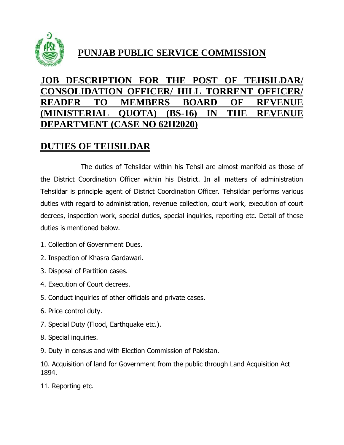

# **PUNJAB PUBLIC SERVICE COMMISSION**

## **JOB DESCRIPTION FOR THE POST OF TEHSILDAR/ CONSOLIDATION OFFICER/ HILL TORRENT OFFICER/ READER TO MEMBERS BOARD OF REVENUE (MINISTERIAL QUOTA) (BS-16) IN THE REVENUE DEPARTMENT (CASE NO 62H2020)**

### **DUTIES OF TEHSILDAR**

The duties of Tehsildar within his Tehsil are almost manifold as those of the District Coordination Officer within his District. In all matters of administration Tehsildar is principle agent of District Coordination Officer. Tehsildar performs various duties with regard to administration, revenue collection, court work, execution of court decrees, inspection work, special duties, special inquiries, reporting etc. Detail of these duties is mentioned below.

- 1. Collection of Government Dues.
- 2. Inspection of Khasra Gardawari.
- 3. Disposal of Partition cases.
- 4. Execution of Court decrees.
- 5. Conduct inquiries of other officials and private cases.
- 6. Price control duty.
- 7. Special Duty (Flood, Earthquake etc.).
- 8. Special inquiries.
- 9. Duty in census and with Election Commission of Pakistan.

10. Acquisition of land for Government from the public through Land Acquisition Act 1894.

11. Reporting etc.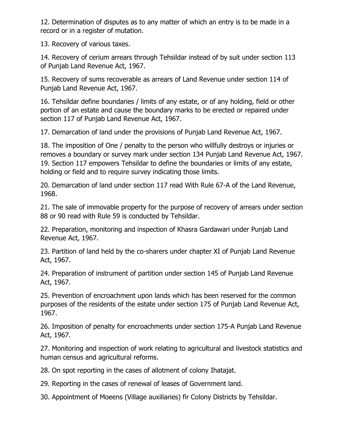12. Determination of disputes as to any matter of which an entry is to be made in a record or in a register of mutation.

13. Recovery of various taxes.

14. Recovery of cerium arrears through Tehsildar instead of by suit under section 113 of Punjab Land Revenue Act, 1967.

15. Recovery of sums recoverable as arrears of Land Revenue under section 114 of Punjab Land Revenue Act, 1967.

16. Tehsildar define boundaries / limits of any estate, or of any holding, field or other portion of an estate and cause the boundary marks to be erected or repaired under section 117 of Punjab Land Revenue Act, 1967.

17. Demarcation of land under the provisions of Punjab Land Revenue Act, 1967.

18. The imposition of One / penalty to the person who willfully destroys or injuries or removes a boundary or survey mark under section 134 Punjab Land Revenue Act, 1967. 19. Section 117 empowers Tehsildar to define the boundaries or limits of any estate, holding or field and to require survey indicating those limits.

20. Demarcation of land under section 117 read With Rule 67-A of the Land Revenue, 1968.

21. The sale of immovable property for the purpose of recovery of arrears under section 88 or 90 read with Rule 59 is conducted by Tehsildar.

22. Preparation, monitoring and inspection of Khasra Gardawari under Punjab Land Revenue Act, 1967.

23. Partition of land held by the co-sharers under chapter XI of Punjab Land Revenue Act, 1967.

24. Preparation of instrument of partition under section 145 of Punjab Land Revenue Act, 1967.

25. Prevention of encroachment upon lands which has been reserved for the common purposes of the residents of the estate under section 175 of Punjab Land Revenue Act, 1967.

26. Imposition of penalty for encroachments under section 175-A Punjab Land Revenue Act, 1967.

27. Monitoring and inspection of work relating to agricultural and livestock statistics and human census and agricultural reforms.

28. On spot reporting in the cases of allotment of colony Ihatajat.

29. Reporting in the cases of renewal of leases of Government land.

30. Appointment of Moeens (Village auxiliaries) fir Colony Districts by Tehsildar.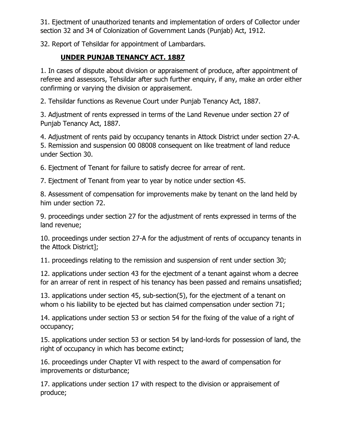31. Ejectment of unauthorized tenants and implementation of orders of Collector under section 32 and 34 of Colonization of Government Lands (Punjab) Act, 1912.

32. Report of Tehsildar for appointment of Lambardars.

#### **UNDER PUNJAB TENANCY ACT. 1887**

1. In cases of dispute about division or appraisement of produce, after appointment of referee and assessors, Tehsildar after such further enquiry, if any, make an order either confirming or varying the division or appraisement.

2. Tehsildar functions as Revenue Court under Punjab Tenancy Act, 1887.

3. Adjustment of rents expressed in terms of the Land Revenue under section 27 of Punjab Tenancy Act, 1887.

4. Adjustment of rents paid by occupancy tenants in Attock District under section 27-A. 5. Remission and suspension 00 08008 consequent on like treatment of land reduce under Section 30.

6. Ejectment of Tenant for failure to satisfy decree for arrear of rent.

7. Ejectment of Tenant from year to year by notice under section 45.

8. Assessment of compensation for improvements make by tenant on the land held by him under section 72.

9. proceedings under section 27 for the adjustment of rents expressed in terms of the land revenue;

10. proceedings under section 27-A for the adjustment of rents of occupancy tenants in the Attock District];

11. proceedings relating to the remission and suspension of rent under section 30;

12. applications under section 43 for the ejectment of a tenant against whom a decree for an arrear of rent in respect of his tenancy has been passed and remains unsatisfied;

13. applications under section 45, sub-section(5), for the ejectment of a tenant on whom o his liability to be ejected but has claimed compensation under section 71;

14. applications under section 53 or section 54 for the fixing of the value of a right of occupancy;

15. applications under section 53 or section 54 by land-lords for possession of land, the right of occupancy in which has become extinct;

16. proceedings under Chapter VI with respect to the award of compensation for improvements or disturbance;

17. applications under section 17 with respect to the division or appraisement of produce;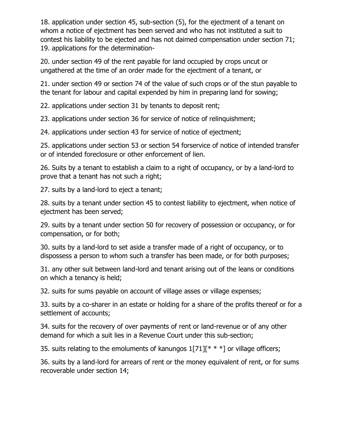18. application under section 45, sub-section (5), for the ejectment of a tenant on whom a notice of ejectment has been served and who has not instituted a suit to contest his liability to be ejected and has not daimed compensation under section 71; 19. applications for the determination-

20. under section 49 of the rent payable for land occupied by crops uncut or ungathered at the time of an order made for the ejectment of a tenant, or

21. under section 49 or section 74 of the value of such crops or of the stun payable to the tenant for labour and capital expended by him in preparing land for sowing;

22. applications under section 31 by tenants to deposit rent;

23. applications under section 36 for service of notice of relinquishment;

24. applications under section 43 for service of notice of ejectment;

25. applications under section 53 or section 54 forservice of notice of intended transfer or of intended foreclosure or other enforcement of lien.

26. Suits by a tenant to establish a claim to a right of occupancy, or by a land-lord to prove that a tenant has not such a right;

27. suits by a land-lord to eject a tenant;

28. suits by a tenant under section 45 to contest liability to ejectment, when notice of ejectment has been served;

29. suits by a tenant under section 50 for recovery of possession or occupancy, or for compensation, or for both;

30. suits by a land-lord to set aside a transfer made of a right of occupancy, or to dispossess a person to whom such a transfer has been made, or for both purposes;

31. any other suit between land-lord and tenant arising out of the leans or conditions on which a tenancy is held;

32. suits for sums payable on account of village asses or village expenses;

33. suits by a co-sharer in an estate or holding for a share of the profits thereof or for a settlement of accounts;

34. suits for the recovery of over payments of rent or land-revenue or of any other demand for which a suit lies in a Revenue Court under this sub-section;

35. suits relating to the emoluments of kanungos  $1[71]$ <sup>\*</sup> \* \*] or village officers;

36. suits by a land-lord for arrears of rent or the money equivalent of rent, or for sums recoverable under section 14;